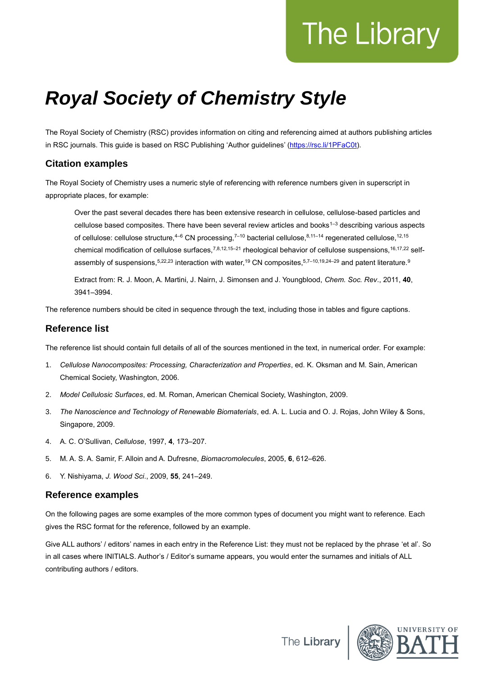# The Library

# *Royal Society of Chemistry Style*

The Royal Society of Chemistry (RSC) provides information on citing and referencing aimed at authors publishing articles in RSC journals. This guide is based on RSC Publishing 'Author guidelines' [\(https://rsc.li/1PFaC0t\)](https://rsc.li/1PFaC0t).

# **Citation examples**

The Royal Society of Chemistry uses a numeric style of referencing with reference numbers given in superscript in appropriate places, for example:

Over the past several decades there has been extensive research in cellulose, cellulose-based particles and cellulose based composites. There have been several review articles and books<sup>1–3</sup> describing various aspects of cellulose: cellulose structure,  $4-6$  CN processing,  $7-10$  bacterial cellulose,  $8,11-14$  regenerated cellulose,  $12,15$ chemical modification of cellulose surfaces,<sup>7,8,12,15–21</sup> rheological behavior of cellulose suspensions,<sup>16,17,22</sup> selfassembly of suspensions, 5,22,23 interaction with water, <sup>19</sup> CN composites, 5,7-10,19,24-29 and patent literature.<sup>9</sup>

Extract from: R. J. Moon, A. Martini, J. Nairn, J. Simonsen and J. Youngblood, *Chem. Soc. Rev*., 2011, **40**, 3941–3994.

The reference numbers should be cited in sequence through the text, including those in tables and figure captions.

# **Reference list**

The reference list should contain full details of all of the sources mentioned in the text, in numerical order. For example:

- 1. *Cellulose Nanocomposites: Processing, Characterization and Properties*, ed. K. Oksman and M. Sain, American Chemical Society, Washington, 2006.
- 2. *Model Cellulosic Surfaces*, ed. M. Roman, American Chemical Society, Washington, 2009.
- 3. *The Nanoscience and Technology of Renewable Biomaterials*, ed. A. L. Lucia and O. J. Rojas, John Wiley & Sons, Singapore, 2009.
- 4. A. C. O'Sullivan, *Cellulose*, 1997, **4**, 173–207.
- 5. M. A. S. A. Samir, F. Alloin and A. Dufresne, *Biomacromolecules*, 2005, **6**, 612–626.
- 6. Y. Nishiyama, *J. Wood Sci*., 2009, **55**, 241–249.

# **Reference examples**

On the following pages are some examples of the more common types of document you might want to reference. Each gives the RSC format for the reference, followed by an example.

Give ALL authors' / editors' names in each entry in the Reference List: they must not be replaced by the phrase 'et al'. So in all cases where INITIALS. Author's / Editor's surname appears, you would enter the surnames and initials of ALL contributing authors / editors.



The Library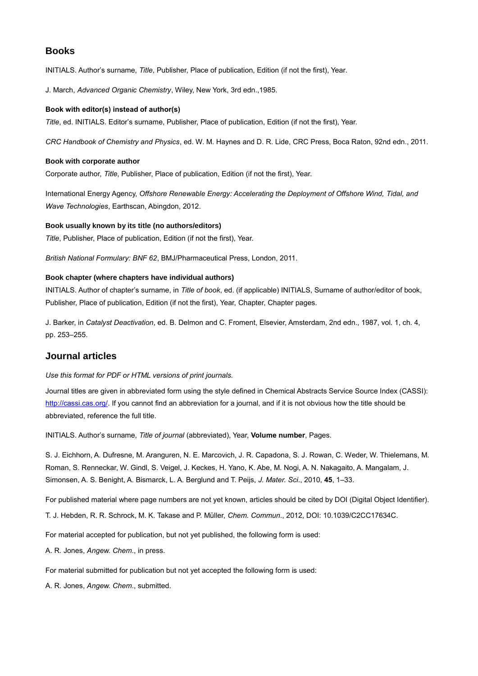# **Books**

INITIALS. Author's surname, *Title*, Publisher, Place of publication, Edition (if not the first), Year.

J. March, *Advanced Organic Chemistry*, Wiley, New York, 3rd edn.,1985.

#### **Book with editor(s) instead of author(s)**

*Title*, ed. INITIALS. Editor's surname, Publisher, Place of publication, Edition (if not the first), Year.

*CRC Handbook of Chemistry and Physics*, ed. W. M. Haynes and D. R. Lide, CRC Press, Boca Raton, 92nd edn., 2011.

#### **Book with corporate author**

Corporate author, *Title*, Publisher, Place of publication, Edition (if not the first), Year.

International Energy Agency, *Offshore Renewable Energy: Accelerating the Deployment of Offshore Wind, Tidal, and Wave Technologies*, Earthscan, Abingdon, 2012.

#### **Book usually known by its title (no authors/editors)**

*Title*, Publisher, Place of publication, Edition (if not the first), Year.

*British National Formulary: BNF 62*, BMJ/Pharmaceutical Press, London, 2011.

#### **Book chapter (where chapters have individual authors)**

INITIALS. Author of chapter's surname, in *Title of book*, ed. (if applicable) INITIALS, Surname of author/editor of book, Publisher, Place of publication, Edition (if not the first), Year, Chapter, Chapter pages.

J. Barker, in *Catalyst Deactivation*, ed. B. Delmon and C. Froment, Elsevier, Amsterdam, 2nd edn., 1987, vol. 1, ch. 4, pp. 253–255.

#### **Journal articles**

#### *Use this format for PDF or HTML versions of print journals.*

Journal titles are given in abbreviated form using the style defined in Chemical Abstracts Service Source Index (CASSI): [http://cassi.cas.org/.](http://cassi.cas.org/) If you cannot find an abbreviation for a journal, and if it is not obvious how the title should be abbreviated, reference the full title.

INITIALS. Author's surname, *Title of journal* (abbreviated), Year, **Volume number**, Pages.

S. J. Eichhorn, A. Dufresne, M. Aranguren, N. E. Marcovich, J. R. Capadona, S. J. Rowan, C. Weder, W. Thielemans, M. Roman, S. Renneckar, W. Gindl, S. Veigel, J. Keckes, H. Yano, K. Abe, M. Nogi, A. N. Nakagaito, A. Mangalam, J. Simonsen, A. S. Benight, A. Bismarck, L. A. Berglund and T. Peijs, *J. Mater. Sci*., 2010, **45**, 1–33.

For published material where page numbers are not yet known, articles should be cited by DOI (Digital Object Identifier).

T. J. Hebden, R. R. Schrock, M. K. Takase and P. Müller, *Chem. Commun*., 2012, DOI: 10.1039/C2CC17634C.

For material accepted for publication, but not yet published, the following form is used:

A. R. Jones, *Angew. Chem*., in press.

For material submitted for publication but not yet accepted the following form is used:

A. R. Jones, *Angew. Chem*., submitted.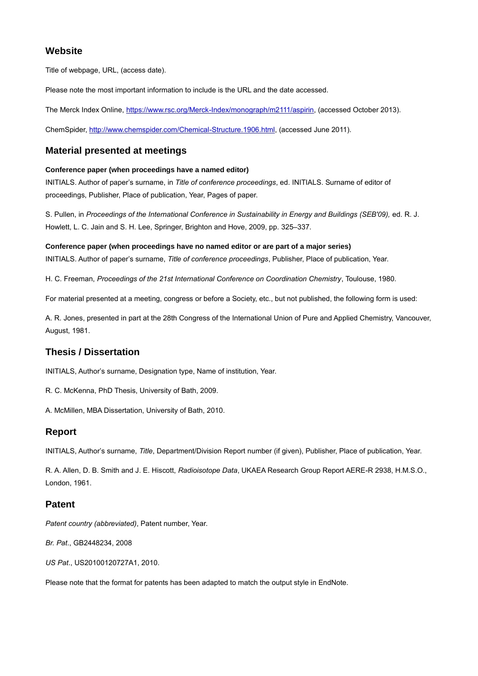# **Website**

Title of webpage, URL, (access date).

Please note the most important information to include is the URL and the date accessed.

The Merck Index Online, [https://www.rsc.org/Merck-Index/monograph/m2111/aspirin,](https://www.rsc.org/Merck-Index/monograph/m2111/aspirin) (accessed October 2013).

ChemSpider, [http://www.chemspider.com/Chemical-Structure.1906.html,](http://www.chemspider.com/Chemical-Structure.1906.html) (accessed June 2011).

# **Material presented at meetings**

#### **Conference paper (when proceedings have a named editor)**

INITIALS. Author of paper's surname, in *Title of conference proceedings*, ed. INITIALS. Surname of editor of proceedings, Publisher, Place of publication, Year, Pages of paper.

S. Pullen, in *Proceedings of the International Conference in Sustainability in Energy and Buildings (SEB'09),* ed. R. J. Howlett, L. C. Jain and S. H. Lee, Springer, Brighton and Hove, 2009, pp. 325–337.

**Conference paper (when proceedings have no named editor or are part of a major series)** INITIALS. Author of paper's surname, *Title of conference proceedings*, Publisher, Place of publication, Year.

H. C. Freeman, *Proceedings of the 21st International Conference on Coordination Chemistry*, Toulouse, 1980.

For material presented at a meeting, congress or before a Society, etc., but not published, the following form is used:

A. R. Jones, presented in part at the 28th Congress of the International Union of Pure and Applied Chemistry, Vancouver, August, 1981.

# **Thesis / Dissertation**

INITIALS, Author's surname, Designation type, Name of institution, Year.

R. C. McKenna, PhD Thesis, University of Bath, 2009.

A. McMillen, MBA Dissertation, University of Bath, 2010.

# **Report**

INITIALS, Author's surname, *Title*, Department/Division Report number (if given), Publisher, Place of publication, Year.

R. A. Allen, D. B. Smith and J. E. Hiscott, *Radioisotope Data*, UKAEA Research Group Report AERE-R 2938, H.M.S.O., London, 1961.

#### **Patent**

*Patent country (abbreviated)*, Patent number, Year.

*Br. Pat*., GB2448234, 2008

*US Pat*., US20100120727A1, 2010.

Please note that the format for patents has been adapted to match the output style in EndNote.